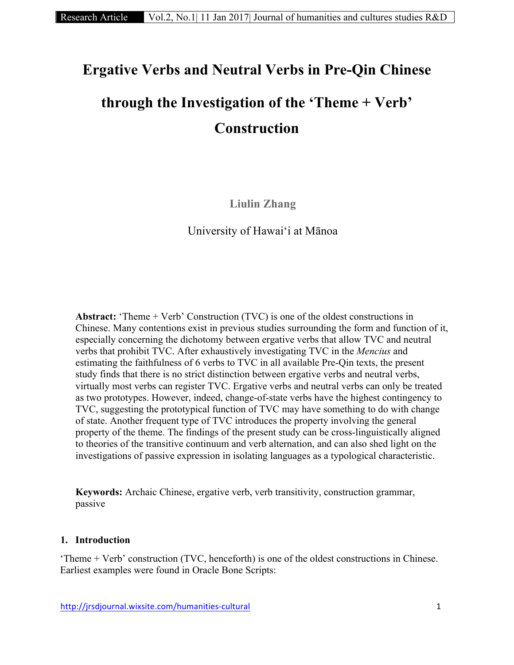# **Ergative Verbs and Neutral Verbs in Pre-Qin Chinese**

# **through the Investigation of the 'Theme + Verb' Construction**

**Liulin Zhang**

University of Hawaiʻi at Mānoa

**Abstract:** 'Theme + Verb' Construction (TVC) is one of the oldest constructions in Chinese. Many contentions exist in previous studies surrounding the form and function of it, especially concerning the dichotomy between ergative verbs that allow TVC and neutral verbs that prohibit TVC. After exhaustively investigating TVC in the *Mencius* and estimating the faithfulness of 6 verbs to TVC in all available Pre-Qin texts, the present study finds that there is no strict distinction between ergative verbs and neutral verbs, virtually most verbs can register TVC. Ergative verbs and neutral verbs can only be treated as two prototypes. However, indeed, change-of-state verbs have the highest contingency to TVC, suggesting the prototypical function of TVC may have something to do with change of state. Another frequent type of TVC introduces the property involving the general property of the theme. The findings of the present study can be cross-linguistically aligned to theories of the transitive continuum and verb alternation, and can also shed light on the investigations of passive expression in isolating languages as a typological characteristic.

**Keywords:** Archaic Chinese, ergative verb, verb transitivity, construction grammar, passive

## **1. Introduction**

'Theme + Verb' construction (TVC, henceforth) is one of the oldest constructions in Chinese. Earliest examples were found in Oracle Bone Scripts: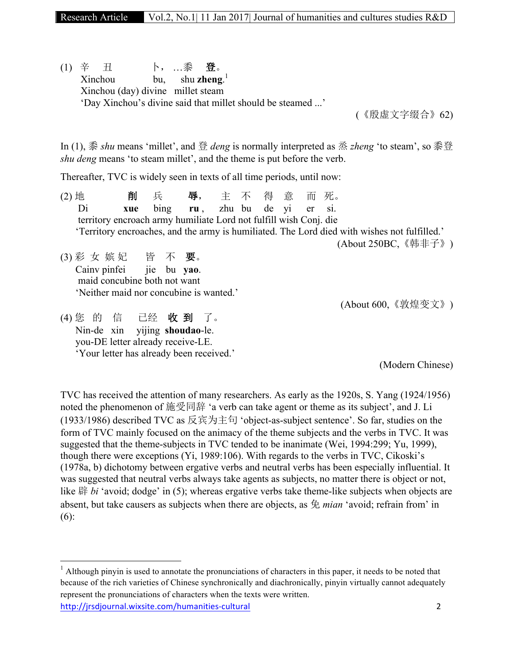Research Article Vol.2, No.1| 11 Jan 2017| Journal of humanities and cultures studies R&D

(1) 辛 丑 卜, …黍 登。 Xinchou bu, shu **zheng**. 1 Xinchou (day) divine millet steam 'Day Xinchou's divine said that millet should be steamed ...'

(《殷虚文字缀合》62)

In (1), 黍 *shu* means 'millet', and 登 *deng* is normally interpreted as 烝 *zheng* 'to steam', so 黍登 *shu deng* means 'to steam millet', and the theme is put before the verb.

Thereafter, TVC is widely seen in texts of all time periods, until now:

'Your letter has already been received.'

| $(2)$ 地 |                                                                                              |  | 削   | 兵                                 |  |  | 辱,主不得意而死。                                                         |  |  |  |  |  |                      |  |
|---------|----------------------------------------------------------------------------------------------|--|-----|-----------------------------------|--|--|-------------------------------------------------------------------|--|--|--|--|--|----------------------|--|
|         | Di                                                                                           |  | xue |                                   |  |  | bing ru, zhu bu de yi er si.                                      |  |  |  |  |  |                      |  |
|         |                                                                                              |  |     |                                   |  |  | territory encroach army humiliate Lord not fulfill wish Conj. die |  |  |  |  |  |                      |  |
|         | 'Territory encroaches, and the army is humiliated. The Lord died with wishes not fulfilled.' |  |     |                                   |  |  |                                                                   |  |  |  |  |  |                      |  |
|         |                                                                                              |  |     |                                   |  |  |                                                                   |  |  |  |  |  | (About 250BC, 《韩非子》) |  |
|         |                                                                                              |  |     | (3) 彩 女 嫔妃 皆 不 要。                 |  |  |                                                                   |  |  |  |  |  |                      |  |
|         |                                                                                              |  |     | Cainv pinfei jie bu yao.          |  |  |                                                                   |  |  |  |  |  |                      |  |
|         |                                                                                              |  |     | maid concubine both not want      |  |  |                                                                   |  |  |  |  |  |                      |  |
|         |                                                                                              |  |     |                                   |  |  | 'Neither maid nor concubine is wanted.'                           |  |  |  |  |  |                      |  |
|         |                                                                                              |  |     |                                   |  |  |                                                                   |  |  |  |  |  | (About 600, 《敦煌变文》)  |  |
|         |                                                                                              |  |     | (4) 您 的 信 已经 收 到 了。               |  |  |                                                                   |  |  |  |  |  |                      |  |
|         |                                                                                              |  |     | Nin-de xin vijing shoudao-le.     |  |  |                                                                   |  |  |  |  |  |                      |  |
|         |                                                                                              |  |     | you-DE letter already receive-LE. |  |  |                                                                   |  |  |  |  |  |                      |  |

(Modern Chinese)

TVC has received the attention of many researchers. As early as the 1920s, S. Yang (1924/1956) noted the phenomenon of 施受同辞 'a verb can take agent or theme as its subject', and J. Li (1933/1986) described TVC as 反宾为主句 'object-as-subject sentence'. So far, studies on the form of TVC mainly focused on the animacy of the theme subjects and the verbs in TVC. It was suggested that the theme-subjects in TVC tended to be inanimate (Wei, 1994:299; Yu, 1999), though there were exceptions (Yi, 1989:106). With regards to the verbs in TVC, Cikoski's (1978a, b) dichotomy between ergative verbs and neutral verbs has been especially influential. It was suggested that neutral verbs always take agents as subjects, no matter there is object or not, like 辟 *bi* 'avoid; dodge' in (5); whereas ergative verbs take theme-like subjects when objects are absent, but take causers as subjects when there are objects, as 免 *mian* 'avoid; refrain from' in (6):

http://jrsdjournal.wixsite.com/humanities-cultural 2  $<sup>1</sup>$  Although pinyin is used to annotate the pronunciations of characters in this paper, it needs to be noted that</sup> because of the rich varieties of Chinese synchronically and diachronically, pinyin virtually cannot adequately represent the pronunciations of characters when the texts were written.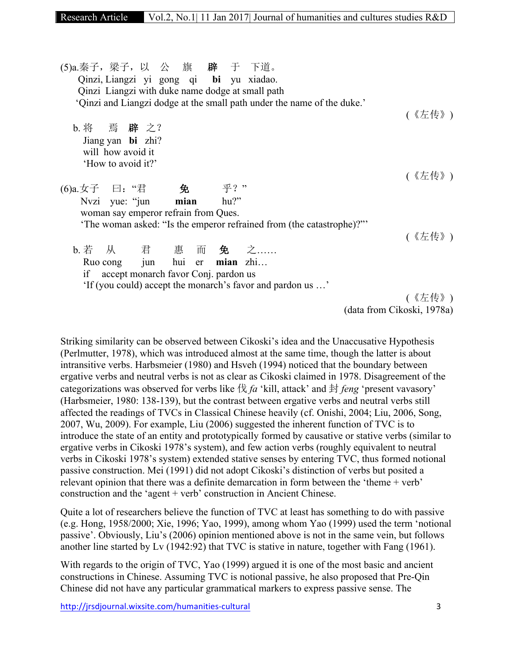(5)a.秦子,梁子,以 公 旗 辟于 下道。 Qinzi, Liangzi yi gong qi **bi** yu xiadao. Qinzi Liangzi with duke name dodge at small path 'Qinzi and Liangzi dodge at the small path under the name of the duke.' (《左传》) b. 将 焉 辟之? Jiang yan **bi** zhi? will how avoid it 'How to avoid it?' (《左传》) (6)a.女子 曰:"君 免乎?" Nvzi yue: "jun **mian** hu?" woman say emperor refrain from Ques. 'The woman asked: "Is the emperor refrained from (the catastrophe)?"' (《左传》) b. 若 从 君 惠 而 免之…… Ruo cong jun hui er **mian** zhi… if accept monarch favor Conj. pardon us 'If (you could) accept the monarch's favor and pardon us …' (《左传》) (data from Cikoski, 1978a)

Striking similarity can be observed between Cikoski's idea and the Unaccusative Hypothesis (Perlmutter, 1978), which was introduced almost at the same time, though the latter is about intransitive verbs. Harbsmeier (1980) and Hsveh (1994) noticed that the boundary between ergative verbs and neutral verbs is not as clear as Cikoski claimed in 1978. Disagreement of the categorizations was observed for verbs like 伐 *fa* 'kill, attack' and 封 *feng* 'present vavasory' (Harbsmeier, 1980: 138-139), but the contrast between ergative verbs and neutral verbs still affected the readings of TVCs in Classical Chinese heavily (cf. Onishi, 2004; Liu, 2006, Song, 2007, Wu, 2009). For example, Liu (2006) suggested the inherent function of TVC is to introduce the state of an entity and prototypically formed by causative or stative verbs (similar to ergative verbs in Cikoski 1978's system), and few action verbs (roughly equivalent to neutral verbs in Cikoski 1978's system) extended stative senses by entering TVC, thus formed notional passive construction. Mei (1991) did not adopt Cikoski's distinction of verbs but posited a relevant opinion that there was a definite demarcation in form between the 'theme + verb' construction and the 'agent + verb' construction in Ancient Chinese.

Quite a lot of researchers believe the function of TVC at least has something to do with passive (e.g. Hong, 1958/2000; Xie, 1996; Yao, 1999), among whom Yao (1999) used the term 'notional passive'. Obviously, Liu's (2006) opinion mentioned above is not in the same vein, but follows another line started by Lv (1942:92) that TVC is stative in nature, together with Fang (1961).

With regards to the origin of TVC, Yao (1999) argued it is one of the most basic and ancient constructions in Chinese. Assuming TVC is notional passive, he also proposed that Pre-Qin Chinese did not have any particular grammatical markers to express passive sense. The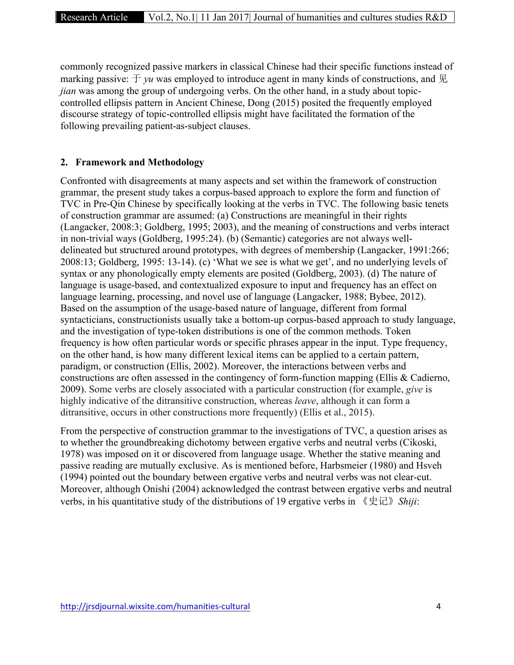commonly recognized passive markers in classical Chinese had their specific functions instead of marking passive:  $\pm \nu u$  was employed to introduce agent in many kinds of constructions, and  $\mathbb{R}$ *jian* was among the group of undergoing verbs. On the other hand, in a study about topiccontrolled ellipsis pattern in Ancient Chinese, Dong (2015) posited the frequently employed discourse strategy of topic-controlled ellipsis might have facilitated the formation of the following prevailing patient-as-subject clauses.

#### **2. Framework and Methodology**

Confronted with disagreements at many aspects and set within the framework of construction grammar, the present study takes a corpus-based approach to explore the form and function of TVC in Pre-Qin Chinese by specifically looking at the verbs in TVC. The following basic tenets of construction grammar are assumed: (a) Constructions are meaningful in their rights (Langacker, 2008:3; Goldberg, 1995; 2003), and the meaning of constructions and verbs interact in non-trivial ways (Goldberg, 1995:24). (b) (Semantic) categories are not always welldelineated but structured around prototypes, with degrees of membership (Langacker, 1991:266; 2008:13; Goldberg, 1995: 13-14). (c) 'What we see is what we get', and no underlying levels of syntax or any phonologically empty elements are posited (Goldberg, 2003). (d) The nature of language is usage-based, and contextualized exposure to input and frequency has an effect on language learning, processing, and novel use of language (Langacker, 1988; Bybee, 2012). Based on the assumption of the usage-based nature of language, different from formal syntacticians, constructionists usually take a bottom-up corpus-based approach to study language, and the investigation of type-token distributions is one of the common methods. Token frequency is how often particular words or specific phrases appear in the input. Type frequency, on the other hand, is how many different lexical items can be applied to a certain pattern, paradigm, or construction (Ellis, 2002). Moreover, the interactions between verbs and constructions are often assessed in the contingency of form-function mapping (Ellis & Cadierno, 2009). Some verbs are closely associated with a particular construction (for example, *give* is highly indicative of the ditransitive construction, whereas *leave*, although it can form a ditransitive, occurs in other constructions more frequently) (Ellis et al., 2015).

From the perspective of construction grammar to the investigations of TVC, a question arises as to whether the groundbreaking dichotomy between ergative verbs and neutral verbs (Cikoski, 1978) was imposed on it or discovered from language usage. Whether the stative meaning and passive reading are mutually exclusive. As is mentioned before, Harbsmeier (1980) and Hsveh (1994) pointed out the boundary between ergative verbs and neutral verbs was not clear-cut. Moreover, although Onishi (2004) acknowledged the contrast between ergative verbs and neutral verbs, in his quantitative study of the distributions of 19 ergative verbs in 《史记》*Shiji*: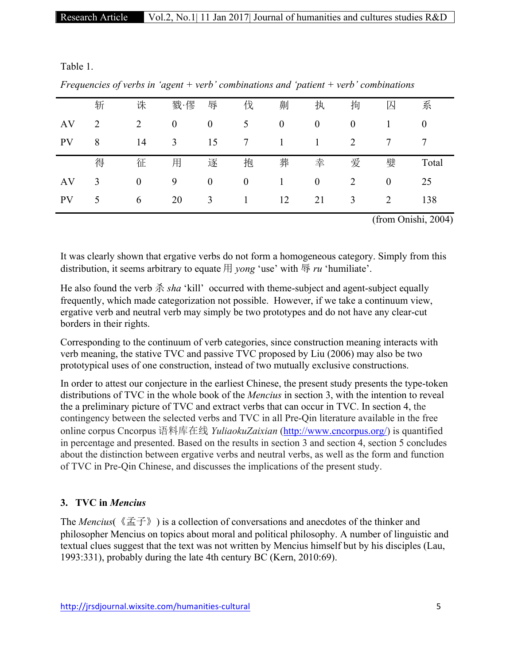Table 1.

| $\mathbf{I}$ | ◡ |                  | ပ                |                  |                  | $\mathbf{I}$     |                  |                |                |                |
|--------------|---|------------------|------------------|------------------|------------------|------------------|------------------|----------------|----------------|----------------|
|              | 斩 | 诛                | 戮·僇              | 辱                | 伐                | 劓                | 执                | 拘              | 囚              | 系              |
| AV           | 2 | $\overline{2}$   | $\boldsymbol{0}$ | $\boldsymbol{0}$ | 5                | $\boldsymbol{0}$ | $\boldsymbol{0}$ | $\mathbf{0}$   |                | $\overline{0}$ |
| <b>PV</b>    | 8 | 14               | 3                | 15               | 7                | 1                | $\mathbf{1}$     | 2              | 7              | 7              |
|              | 得 | 征                | 用                | 逐                | 抱                | 葬                | 幸                | 爱              | 嬖              | Total          |
| AV           | 3 | $\boldsymbol{0}$ | 9                | $\boldsymbol{0}$ | $\boldsymbol{0}$ | 1                | $\boldsymbol{0}$ | $\overline{2}$ | $\overline{0}$ | 25             |
| <b>PV</b>    | 5 | 6                | 20               | 3                |                  | 12               | 21               | 3              | 2              | 138            |

*Frequencies of verbs in 'agent + verb' combinations and 'patient + verb' combinations*

(from Onishi, 2004)

It was clearly shown that ergative verbs do not form a homogeneous category. Simply from this distribution, it seems arbitrary to equate 用 *yong* 'use' with 辱 *ru* 'humiliate'.

He also found the verb 杀 *sha* 'kill' occurred with theme-subject and agent-subject equally frequently, which made categorization not possible. However, if we take a continuum view, ergative verb and neutral verb may simply be two prototypes and do not have any clear-cut borders in their rights.

Corresponding to the continuum of verb categories, since construction meaning interacts with verb meaning, the stative TVC and passive TVC proposed by Liu (2006) may also be two prototypical uses of one construction, instead of two mutually exclusive constructions.

In order to attest our conjecture in the earliest Chinese, the present study presents the type-token distributions of TVC in the whole book of the *Mencius* in section 3, with the intention to reveal the a preliminary picture of TVC and extract verbs that can occur in TVC. In section 4, the contingency between the selected verbs and TVC in all Pre-Qin literature available in the free online corpus Cncorpus 语料库在线 *YuliaokuZaixian* (http://www.cncorpus.org/) is quantified in percentage and presented. Based on the results in section 3 and section 4, section 5 concludes about the distinction between ergative verbs and neutral verbs, as well as the form and function of TVC in Pre-Qin Chinese, and discusses the implications of the present study.

# **3. TVC in** *Mencius*

The *Mencius*(《孟子》) is a collection of conversations and anecdotes of the thinker and philosopher Mencius on topics about moral and political philosophy. A number of linguistic and textual clues suggest that the text was not written by Mencius himself but by his disciples (Lau, 1993:331), probably during the late 4th century BC (Kern, 2010:69).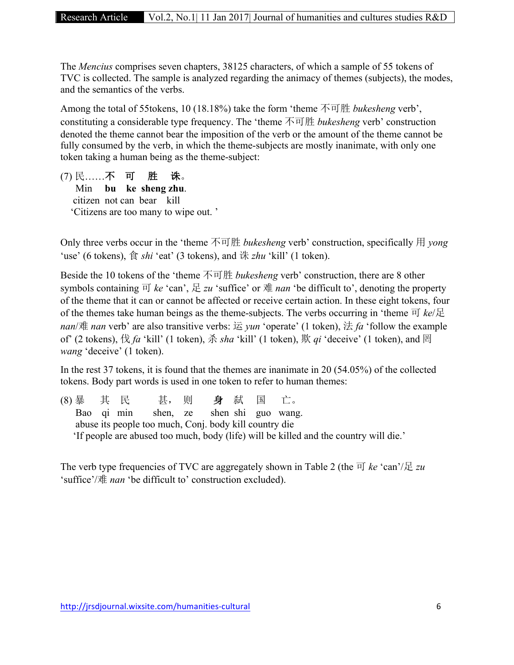The *Mencius* comprises seven chapters, 38125 characters, of which a sample of 55 tokens of TVC is collected. The sample is analyzed regarding the animacy of themes (subjects), the modes, and the semantics of the verbs.

Among the total of 55tokens, 10 (18.18%) take the form 'theme 不可胜 *bukesheng* verb', constituting a considerable type frequency. The 'theme 不可胜 *bukesheng* verb' construction denoted the theme cannot bear the imposition of the verb or the amount of the theme cannot be fully consumed by the verb, in which the theme-subjects are mostly inanimate, with only one token taking a human being as the theme-subject:

(7) 民……不可胜诛。 Min **bu ke sheng zhu**. citizen not can bear kill 'Citizens are too many to wipe out. '

Only three verbs occur in the 'theme 不可胜 *bukesheng* verb' construction, specifically 用 *yong* 'use' (6 tokens), 食 *shi* 'eat' (3 tokens), and 诛 *zhu* 'kill' (1 token).

Beside the 10 tokens of the 'theme 不可胜 *bukesheng* verb' construction, there are 8 other symbols containing  $\overline{p}$  *ke* 'can',  $\overline{\mathcal{L}}$  *zu* 'suffice' or  $\overline{\mathcal{R}}$  *nan* 'be difficult to', denoting the property of the theme that it can or cannot be affected or receive certain action. In these eight tokens, four of the themes take human beings as the theme-subjects. The verbs occurring in 'theme 可 *ke*/足 *nan*/难 *nan* verb' are also transitive verbs: 运 *yun* 'operate' (1 token), 法 *fa* 'follow the example of' (2 tokens), 伐 *fa* 'kill' (1 token), 杀 *sha* 'kill' (1 token), 欺 *qi* 'deceive' (1 token), and 罔 *wang* 'deceive' (1 token).

In the rest 37 tokens, it is found that the themes are inanimate in 20 (54.05%) of the collected tokens. Body part words is used in one token to refer to human themes:

(8) 暴 其 民 甚, 则 身弑 国 亡。 Bao qi min shen, ze shen shi guo wang. abuse its people too much, Conj. body kill country die 'If people are abused too much, body (life) will be killed and the country will die.'

The verb type frequencies of TVC are aggregately shown in Table 2 (the  $\overline{H}$  *ke* 'can'/ $\overline{L}$  *zu* 'suffice'/难 *nan* 'be difficult to' construction excluded).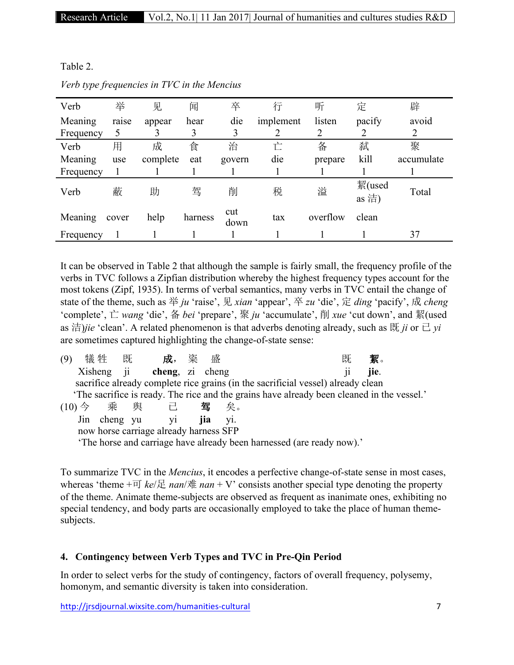Table 2.

| Verb      | 举     | 见        | 闻       | 卒           | 行         | 听        | 定               | 辟          |
|-----------|-------|----------|---------|-------------|-----------|----------|-----------------|------------|
| Meaning   | raise | appear   | hear    | die         | implement | listen   | pacify          | avoid      |
| Frequency |       |          | 3       |             |           | 2        | 2               | 2          |
| Verb      | 用     | 成        | 食       | 治           | È         | 备        | 弑               | 聚          |
| Meaning   | use   | complete | eat     | govern      | die       | prepare  | kill            | accumulate |
| Frequency |       |          |         |             |           |          |                 |            |
| Verb      | 蔽     | 助        | 驾       | 削           | 税         | 溢        | 絜(used<br>as 洁) | Total      |
| Meaning   | cover | help     | harness | cut<br>down | tax       | overflow | clean           |            |
| Frequency |       |          |         |             |           |          |                 | 37         |

*Verb type frequencies in TVC in the Mencius*

It can be observed in Table 2 that although the sample is fairly small, the frequency profile of the verbs in TVC follows a Zipfian distribution whereby the highest frequency types account for the most tokens (Zipf, 1935). In terms of verbal semantics, many verbs in TVC entail the change of state of the theme, such as 举 *ju* 'raise', 见 *xian* 'appear', 卒 *zu* 'die', 定 *ding* 'pacify', 成 *cheng* 'complete', 亡 *wang* 'die', 备 *bei* 'prepare', 聚 *ju* 'accumulate', 削 *xue* 'cut down', and 絜(used as 洁)*jie* 'clean'. A related phenomenon is that adverbs denoting already, such as 既 *ji* or  $\exists$  *yi* are sometimes captured highlighting the change-of-state sense:

| 犠 牲                                                                                       | 既   |  | 成,              | 粢 | 盛                 | 既<br>絜。    |  |  |  |  |
|-------------------------------------------------------------------------------------------|-----|--|-----------------|---|-------------------|------------|--|--|--|--|
| Xisheng ji                                                                                |     |  | cheng, zi cheng |   |                   | jie.<br>11 |  |  |  |  |
| sacrifice already complete rice grains (in the sacrificial vessel) already clean          |     |  |                 |   |                   |            |  |  |  |  |
| The sacrifice is ready. The rice and the grains have already been cleaned in the vessel.' |     |  |                 |   |                   |            |  |  |  |  |
| $(10) \Leftrightarrow$                                                                    | 乘 舆 |  | 己               |   | 驾<br>矣。           |            |  |  |  |  |
|                                                                                           |     |  | Jin cheng yu yi |   | <i>iia</i><br>V1. |            |  |  |  |  |
| now horse carriage already harness SFP                                                    |     |  |                 |   |                   |            |  |  |  |  |
| 'The horse and carriage have already been harnessed (are ready now).'                     |     |  |                 |   |                   |            |  |  |  |  |

To summarize TVC in the *Mencius*, it encodes a perfective change-of-state sense in most cases, whereas 'theme  $+\overline{v}$  *ke*/ $\overline{\mathcal{L}}$  *nan*/ $\overline{\mathcal{R}}$  *nan* + V' consists another special type denoting the property of the theme. Animate theme-subjects are observed as frequent as inanimate ones, exhibiting no special tendency, and body parts are occasionally employed to take the place of human themesubjects.

# **4. Contingency between Verb Types and TVC in Pre-Qin Period**

In order to select verbs for the study of contingency, factors of overall frequency, polysemy, homonym, and semantic diversity is taken into consideration.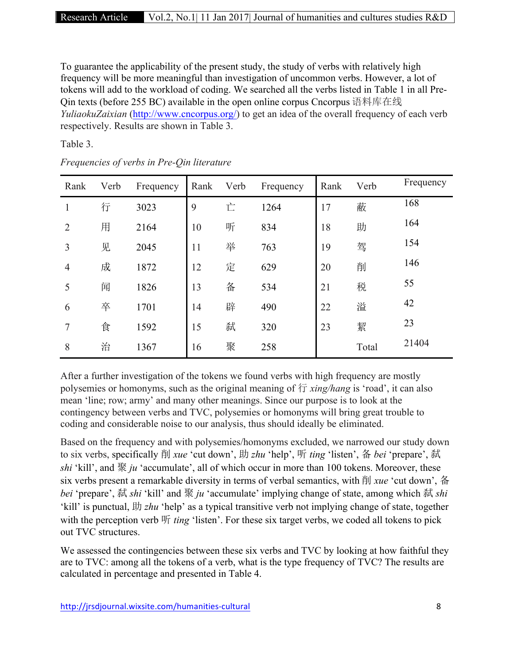To guarantee the applicability of the present study, the study of verbs with relatively high frequency will be more meaningful than investigation of uncommon verbs. However, a lot of tokens will add to the workload of coding. We searched all the verbs listed in Table 1 in all Pre-Qin texts (before 255 BC) available in the open online corpus Cncorpus 语料库在线 *YuliaokuZaixian* (http://www.cncorpus.org/) to get an idea of the overall frequency of each verb respectively. Results are shown in Table 3.

Table 3.

| Rank           | Verb | Frequency | Rank | Verb | Frequency | Rank | Verb  | Frequency |
|----------------|------|-----------|------|------|-----------|------|-------|-----------|
| 1              | 行    | 3023      | 9    | 亡    | 1264      | 17   | 蔽     | 168       |
| $\overline{2}$ | 用    | 2164      | 10   | 听    | 834       | 18   | 助     | 164       |
| 3              | 见    | 2045      | 11   | 举    | 763       | 19   | 驾     | 154       |
| $\overline{4}$ | 成    | 1872      | 12   | 定    | 629       | 20   | 削     | 146       |
| 5              | 闻    | 1826      | 13   | 备    | 534       | 21   | 税     | 55        |
| 6              | 卒    | 1701      | 14   | 辟    | 490       | 22   | 溢     | 42        |
| 7              | 食    | 1592      | 15   | 弑    | 320       | 23   | 絜     | 23        |
| 8              | 治    | 1367      | 16   | 聚    | 258       |      | Total | 21404     |

*Frequencies of verbs in Pre-Qin literature*

After a further investigation of the tokens we found verbs with high frequency are mostly polysemies or homonyms, such as the original meaning of 行 *xing/hang* is 'road', it can also mean 'line; row; army' and many other meanings. Since our purpose is to look at the contingency between verbs and TVC, polysemies or homonyms will bring great trouble to coding and considerable noise to our analysis, thus should ideally be eliminated.

Based on the frequency and with polysemies/homonyms excluded, we narrowed our study down to six verbs, specifically 削 *xue* 'cut down', 助 *zhu* 'help', 听 *ting* 'listen', 备 *bei* 'prepare', 弑 *shi* 'kill', and 聚 *ju* 'accumulate', all of which occur in more than 100 tokens. Moreover, these six verbs present a remarkable diversity in terms of verbal semantics, with 削 *xue* 'cut down', 备 *bei* 'prepare', 弑 *shi* 'kill' and 聚 *ju* 'accumulate' implying change of state, among which 弑 *shi* 'kill' is punctual, 助 *zhu* 'help' as a typical transitive verb not implying change of state, together with the perception verb 听 *ting* 'listen'. For these six target verbs, we coded all tokens to pick out TVC structures.

We assessed the contingencies between these six verbs and TVC by looking at how faithful they are to TVC: among all the tokens of a verb, what is the type frequency of TVC? The results are calculated in percentage and presented in Table 4.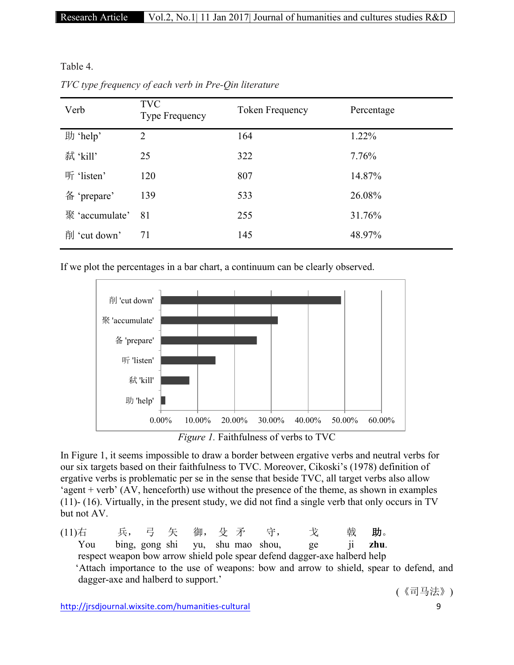Table 4.

| Verb           | <b>TVC</b><br><b>Type Frequency</b> | Token Frequency | Percentage |
|----------------|-------------------------------------|-----------------|------------|
| 助 'help'       | $\overline{2}$                      | 164             | 1.22%      |
| 弑 'kill'       | 25                                  | 322             | 7.76%      |
| 听 'listen'     | 120                                 | 807             | 14.87%     |
| 备 'prepare'    | 139                                 | 533             | 26.08%     |
| 聚 'accumulate' | 81                                  | 255             | 31.76%     |
| 削 'cut down'   | 71                                  | 145             | 48.97%     |

*TVC type frequency of each verb in Pre-Qin literature*

If we plot the percentages in a bar chart, a continuum can be clearly observed.



*Figure 1.* Faithfulness of verbs to TVC

In Figure 1, it seems impossible to draw a border between ergative verbs and neutral verbs for our six targets based on their faithfulness to TVC. Moreover, Cikoski's (1978) definition of ergative verbs is problematic per se in the sense that beside TVC, all target verbs also allow 'agent + verb' (AV, henceforth) use without the presence of the theme, as shown in examples (11)- (16). Virtually, in the present study, we did not find a single verb that only occurs in TV but not AV.

(11)右 兵, 弓 矢 御, 殳 矛 守, 戈 戟 助。 You bing, gong shi yu, shu mao shou, ge ji **zhu**. respect weapon bow arrow shield pole spear defend dagger-axe halberd help 'Attach importance to the use of weapons: bow and arrow to shield, spear to defend, and dagger-axe and halberd to support.'

(《司马法》)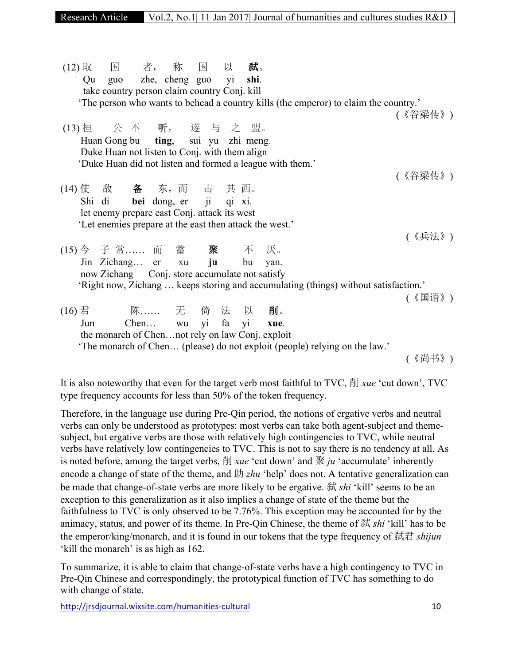| (12) 取 国 者, 称 国 以 弑。                                                                                    |                       |  |  |  |                                                                                      |         |  |
|---------------------------------------------------------------------------------------------------------|-----------------------|--|--|--|--------------------------------------------------------------------------------------|---------|--|
| Qu guo zhe, cheng guo yi shi.                                                                           |                       |  |  |  |                                                                                      |         |  |
| take country person claim country Conj. kill                                                            |                       |  |  |  |                                                                                      |         |  |
|                                                                                                         |                       |  |  |  | 'The person who wants to behead a country kills (the emperor) to claim the country.' |         |  |
|                                                                                                         |                       |  |  |  |                                                                                      | (《谷梁传》) |  |
| (13) 桓 公 不 听, 遂 与 之 盟。                                                                                  |                       |  |  |  |                                                                                      |         |  |
| Huan Gong bu ting, sui yu zhi meng.                                                                     |                       |  |  |  |                                                                                      |         |  |
| Duke Huan not listen to Conj. with them align                                                           |                       |  |  |  |                                                                                      |         |  |
| 'Duke Huan did not listen and formed a league with them.'                                               |                       |  |  |  |                                                                                      |         |  |
|                                                                                                         |                       |  |  |  |                                                                                      | (《谷梁传》) |  |
| (14) 使 敌 备 东, 而 击 其 西。                                                                                  |                       |  |  |  |                                                                                      |         |  |
| Shi di bei dong, er ji qi xi.                                                                           |                       |  |  |  |                                                                                      |         |  |
|                                                                                                         |                       |  |  |  |                                                                                      |         |  |
| let enemy prepare east Conj. attack its west<br>'Let enemies prepare at the east then attack the west.' |                       |  |  |  |                                                                                      |         |  |
|                                                                                                         |                       |  |  |  |                                                                                      |         |  |
|                                                                                                         |                       |  |  |  |                                                                                      | (《兵法》)  |  |
| (15) 今 子 常 而 蓄 聚 不 厌。                                                                                   |                       |  |  |  |                                                                                      |         |  |
| Jin Zichang er xu ju bu yan.                                                                            |                       |  |  |  |                                                                                      |         |  |
| now Zichang Conj. store accumulate not satisfy                                                          |                       |  |  |  |                                                                                      |         |  |
|                                                                                                         |                       |  |  |  | 'Right now, Zichang  keeps storing and accumulating (things) without satisfaction.'  |         |  |
|                                                                                                         |                       |  |  |  |                                                                                      | (《国语》)  |  |
| (16) 君 陈…… 无 倚 法 以 削。                                                                                   |                       |  |  |  |                                                                                      |         |  |
| Jun                                                                                                     | Chen wu yi fa yi xue. |  |  |  |                                                                                      |         |  |
| the monarch of Chennot rely on law Conj. exploit                                                        |                       |  |  |  |                                                                                      |         |  |
|                                                                                                         |                       |  |  |  | 'The monarch of Chen (please) do not exploit (people) relying on the law.'           |         |  |
|                                                                                                         |                       |  |  |  |                                                                                      | (《尚书》)  |  |
|                                                                                                         |                       |  |  |  |                                                                                      |         |  |

It is also noteworthy that even for the target verb most faithful to TVC, 削 *xue* 'cut down', TVC type frequency accounts for less than 50% of the token frequency.

Therefore, in the language use during Pre-Qin period, the notions of ergative verbs and neutral verbs can only be understood as prototypes: most verbs can take both agent-subject and themesubject, but ergative verbs are those with relatively high contingencies to TVC, while neutral verbs have relatively low contingencies to TVC. This is not to say there is no tendency at all. As is noted before, among the target verbs, 削 *xue* 'cut down' and 聚 *ju* 'accumulate' inherently encode a change of state of the theme, and 助 *zhu* 'help' does not. A tentative generalization can be made that change-of-state verbs are more likely to be ergative. 弑 *shi* 'kill' seems to be an exception to this generalization as it also implies a change of state of the theme but the faithfulness to TVC is only observed to be 7.76%. This exception may be accounted for by the animacy, status, and power of its theme. In Pre-Qin Chinese, the theme of 弑 *shi* 'kill' has to be the emperor/king/monarch, and it is found in our tokens that the type frequency of 弑君 *shijun* 'kill the monarch' is as high as 162.

To summarize, it is able to claim that change-of-state verbs have a high contingency to TVC in Pre-Qin Chinese and correspondingly, the prototypical function of TVC has something to do with change of state.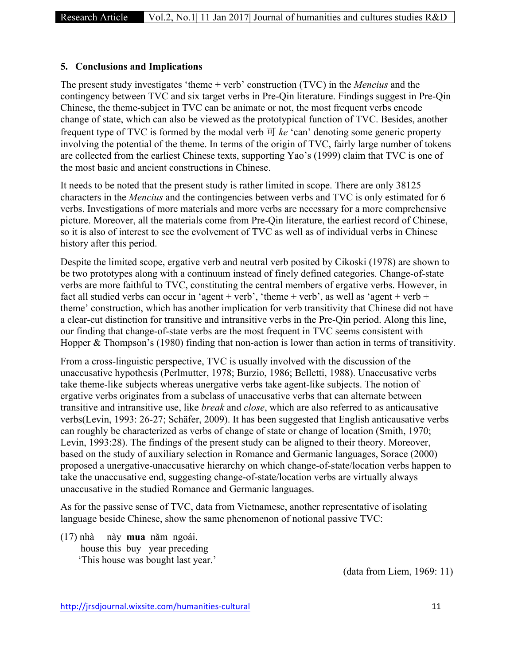### **5. Conclusions and Implications**

The present study investigates 'theme + verb' construction (TVC) in the *Mencius* and the contingency between TVC and six target verbs in Pre-Qin literature. Findings suggest in Pre-Qin Chinese, the theme-subject in TVC can be animate or not, the most frequent verbs encode change of state, which can also be viewed as the prototypical function of TVC. Besides, another frequent type of TVC is formed by the modal verb  $\overline{H}$  *ke* 'can' denoting some generic property involving the potential of the theme. In terms of the origin of TVC, fairly large number of tokens are collected from the earliest Chinese texts, supporting Yao's (1999) claim that TVC is one of the most basic and ancient constructions in Chinese.

It needs to be noted that the present study is rather limited in scope. There are only 38125 characters in the *Mencius* and the contingencies between verbs and TVC is only estimated for 6 verbs. Investigations of more materials and more verbs are necessary for a more comprehensive picture. Moreover, all the materials come from Pre-Qin literature, the earliest record of Chinese, so it is also of interest to see the evolvement of TVC as well as of individual verbs in Chinese history after this period.

Despite the limited scope, ergative verb and neutral verb posited by Cikoski (1978) are shown to be two prototypes along with a continuum instead of finely defined categories. Change-of-state verbs are more faithful to TVC, constituting the central members of ergative verbs. However, in fact all studied verbs can occur in 'agent + verb', 'theme + verb', as well as 'agent + verb + theme' construction, which has another implication for verb transitivity that Chinese did not have a clear-cut distinction for transitive and intransitive verbs in the Pre-Qin period. Along this line, our finding that change-of-state verbs are the most frequent in TVC seems consistent with Hopper & Thompson's (1980) finding that non-action is lower than action in terms of transitivity.

From a cross-linguistic perspective, TVC is usually involved with the discussion of the unaccusative hypothesis (Perlmutter, 1978; Burzio, 1986; Belletti, 1988). Unaccusative verbs take theme-like subjects whereas unergative verbs take agent-like subjects. The notion of ergative verbs originates from a subclass of unaccusative verbs that can alternate between transitive and intransitive use, like *break* and *close*, which are also referred to as anticausative verbs(Levin, 1993: 26-27; Schäfer, 2009). It has been suggested that English anticausative verbs can roughly be characterized as verbs of change of state or change of location (Smith, 1970; Levin, 1993:28). The findings of the present study can be aligned to their theory. Moreover, based on the study of auxiliary selection in Romance and Germanic languages, Sorace (2000) proposed a unergative-unaccusative hierarchy on which change-of-state/location verbs happen to take the unaccusative end, suggesting change-of-state/location verbs are virtually always unaccusative in the studied Romance and Germanic languages.

As for the passive sense of TVC, data from Vietnamese, another representative of isolating language beside Chinese, show the same phenomenon of notional passive TVC:

(17) nhà này **mua** năm ngoái. house this buy year preceding 'This house was bought last year.'

(data from Liem, 1969: 11)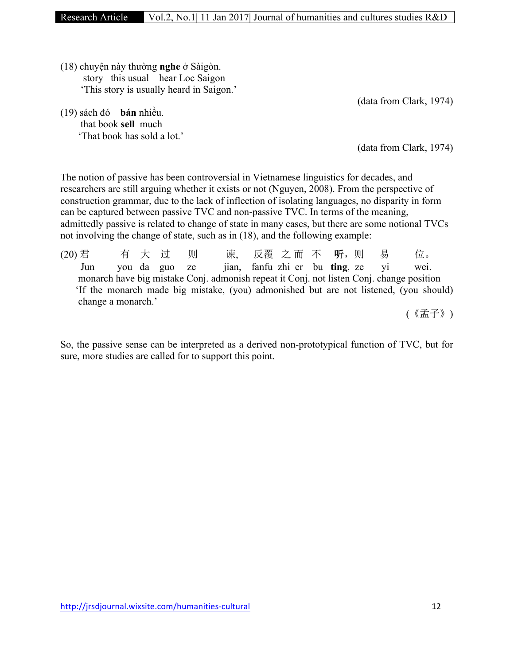(18) chuyện này thường **nghe** ở Sàigòn. story this usual hear Loc Saigon 'This story is usually heard in Saigon.'

(19) sách đó **bán** nhiều. that book **sell** much 'That book has sold a lot.' (data from Clark, 1974)

(data from Clark, 1974)

The notion of passive has been controversial in Vietnamese linguistics for decades, and researchers are still arguing whether it exists or not (Nguyen, 2008). From the perspective of construction grammar, due to the lack of inflection of isolating languages, no disparity in form can be captured between passive TVC and non-passive TVC. In terms of the meaning, admittedly passive is related to change of state in many cases, but there are some notional TVCs not involving the change of state, such as in (18), and the following example:

(20) 君 有 大 过 则 谏, 反覆 之而 不 听, 则 易 位。 Jun you da guo ze jian, fanfu zhi er bu **ting**, ze yi wei. monarch have big mistake Conj. admonish repeat it Conj. not listen Conj. change position 'If the monarch made big mistake, (you) admonished but are not listened, (you should) change a monarch.'

(《孟子》)

So, the passive sense can be interpreted as a derived non-prototypical function of TVC, but for sure, more studies are called for to support this point.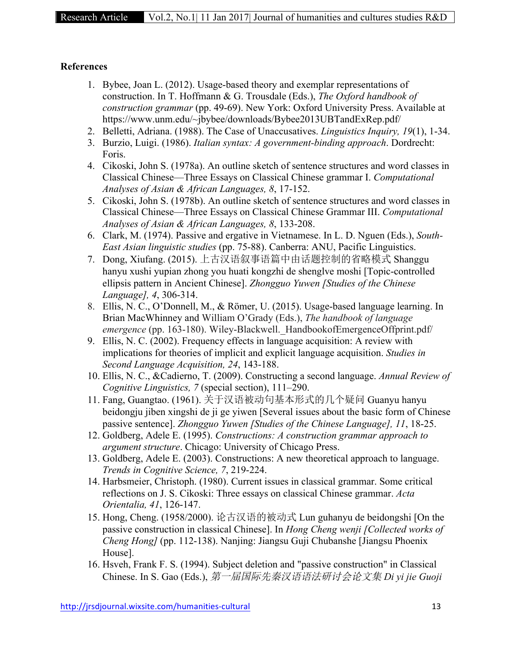#### **References**

- 1. Bybee, Joan L. (2012). Usage-based theory and exemplar representations of construction. In T. Hoffmann & G. Trousdale (Eds.), *The Oxford handbook of construction grammar* (pp. 49-69). New York: Oxford University Press. Available at https://www.unm.edu/~jbybee/downloads/Bybee2013UBTandExRep.pdf/
- 2. Belletti, Adriana. (1988). The Case of Unaccusatives. *Linguistics Inquiry, 19*(1), 1-34.
- 3. Burzio, Luigi. (1986). *Italian syntax: A government-binding approach*. Dordrecht: Foris.
- 4. Cikoski, John S. (1978a). An outline sketch of sentence structures and word classes in Classical Chinese—Three Essays on Classical Chinese grammar I. *Computational Analyses of Asian & African Languages, 8*, 17-152.
- 5. Cikoski, John S. (1978b). An outline sketch of sentence structures and word classes in Classical Chinese—Three Essays on Classical Chinese Grammar III. *Computational Analyses of Asian & African Languages, 8*, 133-208.
- 6. Clark, M. (1974). Passive and ergative in Vietnamese. In L. D. Nguen (Eds.), *South-East Asian linguistic studies* (pp. 75-88). Canberra: ANU, Pacific Linguistics.
- 7. Dong, Xiufang. (2015). 上古汉语叙事语篇中由话题控制的省略模式 Shanggu hanyu xushi yupian zhong you huati kongzhi de shenglve moshi [Topic-controlled ellipsis pattern in Ancient Chinese]. *Zhongguo Yuwen [Studies of the Chinese Language], 4*, 306-314.
- 8. Ellis, N. C., O'Donnell, M., & Römer, U. (2015). Usage-based language learning. In Brian MacWhinney and William O'Grady (Eds.), *The handbook of language emergence* (pp. 163-180). Wiley-Blackwell. HandbookofEmergenceOffprint.pdf/
- 9. Ellis, N. C. (2002). Frequency effects in language acquisition: A review with implications for theories of implicit and explicit language acquisition. *Studies in Second Language Acquisition, 24*, 143-188.
- 10. Ellis, N. C., &Cadierno, T. (2009). Constructing a second language. *Annual Review of Cognitive Linguistics, 7* (special section), 111–290.
- 11. Fang, Guangtao. (1961). 关于汉语被动句基本形式的几个疑问 Guanyu hanyu beidongju jiben xingshi de ji ge yiwen [Several issues about the basic form of Chinese passive sentence]. *Zhongguo Yuwen [Studies of the Chinese Language], 11*, 18-25.
- 12. Goldberg, Adele E. (1995). *Constructions: A construction grammar approach to argument structure*. Chicago: University of Chicago Press.
- 13. Goldberg, Adele E. (2003). Constructions: A new theoretical approach to language. *Trends in Cognitive Science, 7*, 219-224.
- 14. Harbsmeier, Christoph. (1980). Current issues in classical grammar. Some critical reflections on J. S. Cikoski: Three essays on classical Chinese grammar. *Acta Orientalia, 41*, 126-147.
- 15. Hong, Cheng. (1958/2000). 论古汉语的被动式 Lun guhanyu de beidongshi [On the passive construction in classical Chinese]. In *Hong Cheng wenji [Collected works of Cheng Hong]* (pp. 112-138). Nanjing: Jiangsu Guji Chubanshe [Jiangsu Phoenix House].
- 16. Hsveh, Frank F. S. (1994). Subject deletion and "passive construction" in Classical Chinese. In S. Gao (Eds.), 第一届国际先秦汉语语法研讨会论文集 *Di yi jie Guoji*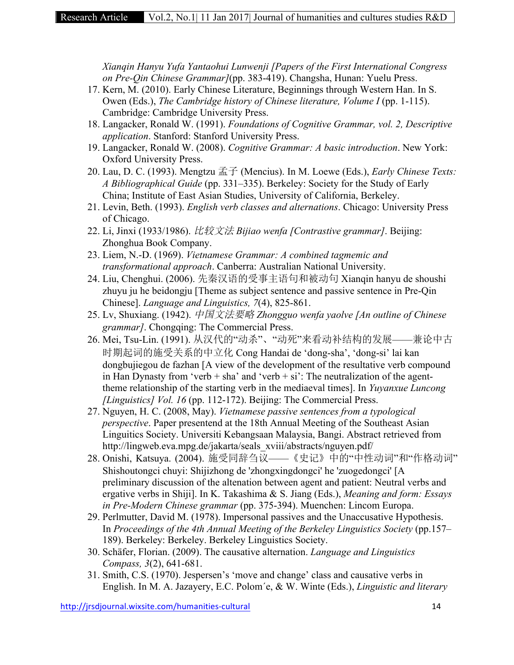*Xianqin Hanyu Yufa Yantaohui Lunwenji [Papers of the First International Congress on Pre-Qin Chinese Grammar]*(pp. 383-419). Changsha, Hunan: Yuelu Press.

- 17. Kern, M. (2010). Early Chinese Literature, Beginnings through Western Han. In S. Owen (Eds.), *The Cambridge history of Chinese literature, Volume I* (pp. 1-115). Cambridge: Cambridge University Press.
- 18. Langacker, Ronald W. (1991). *Foundations of Cognitive Grammar, vol. 2, Descriptive application*. Stanford: Stanford University Press.
- 19. Langacker, Ronald W. (2008). *Cognitive Grammar: A basic introduction*. New York: Oxford University Press.
- 20. Lau, D. C. (1993). Mengtzu 孟子 (Mencius). In M. Loewe (Eds.), *Early Chinese Texts: A Bibliographical Guide* (pp. 331–335). Berkeley: Society for the Study of Early China; Institute of East Asian Studies, University of California, Berkeley.
- 21. Levin, Beth. (1993). *English verb classes and alternations*. Chicago: University Press of Chicago.
- 22. Li, Jinxi (1933/1986). 比较文法 *Bijiao wenfa [Contrastive grammar]*. Beijing: Zhonghua Book Company.
- 23. Liem, N.-D. (1969). *Vietnamese Grammar: A combined tagmemic and transformational approach*. Canberra: Australian National University.
- 24. Liu, Chenghui. (2006). 先秦汉语的受事主语句和被动句 Xianqin hanyu de shoushi zhuyu ju he beidongju [Theme as subject sentence and passive sentence in Pre-Qin Chinese]. *Language and Linguistics, 7*(4), 825-861.
- 25. Lv, Shuxiang. (1942). 中国文法要略 *Zhongguo wenfa yaolve [An outline of Chinese grammar]*. Chongqing: The Commercial Press.
- 26. Mei, Tsu-Lin. (1991). 从汉代的"动杀"、"动死"来看动补结构的发展——兼论中古 时期起词的施受关系的中立化 Cong Handai de 'dong-sha', 'dong-si' lai kan dongbujiegou de fazhan [A view of the development of the resultative verb compound in Han Dynasty from 'verb  $+$  sha' and 'verb  $+$  si': The neutralization of the agenttheme relationship of the starting verb in the mediaeval times]. In *Yuyanxue Luncong [Linguistics] Vol. 16* (pp. 112-172). Beijing: The Commercial Press.
- 27. Nguyen, H. C. (2008, May). *Vietnamese passive sentences from a typological perspective*. Paper presentend at the 18th Annual Meeting of the Southeast Asian Linguitics Society. Universiti Kebangsaan Malaysia, Bangi. Abstract retrieved from http://lingweb.eva.mpg.de/jakarta/seals\_xviii/abstracts/nguyen.pdf/
- 28. Onishi, Katsuya. (2004). 施受同辞刍议——《史记》中的"中性动词"和"作格动词" Shishoutongci chuyi: Shijizhong de 'zhongxingdongci' he 'zuogedongci' [A preliminary discussion of the altenation between agent and patient: Neutral verbs and ergative verbs in Shiji]. In K. Takashima & S. Jiang (Eds.), *Meaning and form: Essays in Pre-Modern Chinese grammar* (pp. 375-394). Muenchen: Lincom Europa.
- 29. Perlmutter, David M. (1978). Impersonal passives and the Unaccusative Hypothesis. In *Proceedings of the 4th Annual Meeting of the Berkeley Linguistics Society (pp.157–* 189). Berkeley: Berkeley. Berkeley Linguistics Society.
- 30. Schäfer, Florian. (2009). The causative alternation. *Language and Linguistics Compass, 3*(2), 641-681.
- 31. Smith, C.S. (1970). Jespersen's 'move and change' class and causative verbs in English. In M. A. Jazayery, E.C. Polom´e, & W. Winte (Eds.), *Linguistic and literary*